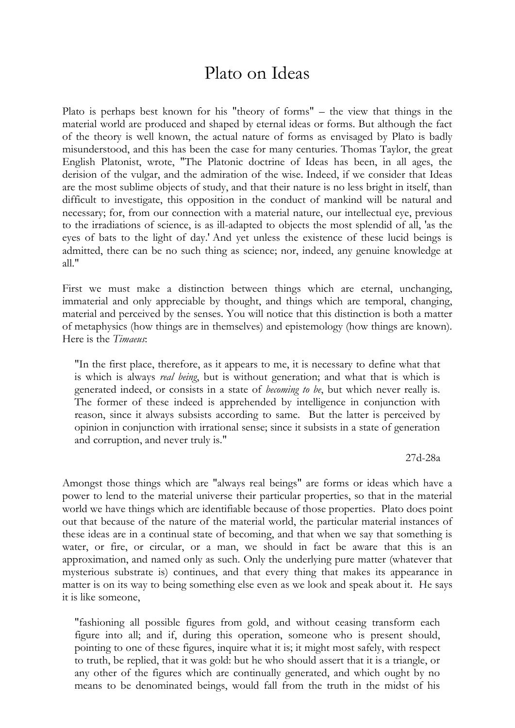## Plato on Ideas

Plato is perhaps best known for his "theory of forms" – the view that things in the material world are produced and shaped by eternal ideas or forms. But although the fact of the theory is well known, the actual nature of forms as envisaged by Plato is badly misunderstood, and this has been the case for many centuries. Thomas Taylor, the great English Platonist, wrote, "The Platonic doctrine of Ideas has been, in all ages, the derision of the vulgar, and the admiration of the wise. Indeed, if we consider that Ideas are the most sublime objects of study, and that their nature is no less bright in itself, than difficult to investigate, this opposition in the conduct of mankind will be natural and necessary; for, from our connection with a material nature, our intellectual eye, previous to the irradiations of science, is as ill-adapted to objects the most splendid of all, 'as the eyes of bats to the light of day.' And yet unless the existence of these lucid beings is admitted, there can be no such thing as science; nor, indeed, any genuine knowledge at all."

First we must make a distinction between things which are eternal, unchanging, immaterial and only appreciable by thought, and things which are temporal, changing, material and perceived by the senses. You will notice that this distinction is both a matter of metaphysics (how things are in themselves) and epistemology (how things are known). Here is the *Timaeus*:

"In the first place, therefore, as it appears to me, it is necessary to define what that is which is always *real being*, but is without generation; and what that is which is generated indeed, or consists in a state of *becoming to be*, but which never really is. The former of these indeed is apprehended by intelligence in conjunction with reason, since it always subsists according to same. But the latter is perceived by opinion in conjunction with irrational sense; since it subsists in a state of generation and corruption, and never truly is."

27d-28a

Amongst those things which are "always real beings" are forms or ideas which have a power to lend to the material universe their particular properties, so that in the material world we have things which are identifiable because of those properties. Plato does point out that because of the nature of the material world, the particular material instances of these ideas are in a continual state of becoming, and that when we say that something is water, or fire, or circular, or a man, we should in fact be aware that this is an approximation, and named only as such. Only the underlying pure matter (whatever that mysterious substrate is) continues, and that every thing that makes its appearance in matter is on its way to being something else even as we look and speak about it. He says it is like someone,

"fashioning all possible figures from gold, and without ceasing transform each figure into all; and if, during this operation, someone who is present should, pointing to one of these figures, inquire what it is; it might most safely, with respect to truth, be replied, that it was gold: but he who should assert that it is a triangle, or any other of the figures which are continually generated, and which ought by no means to be denominated beings, would fall from the truth in the midst of his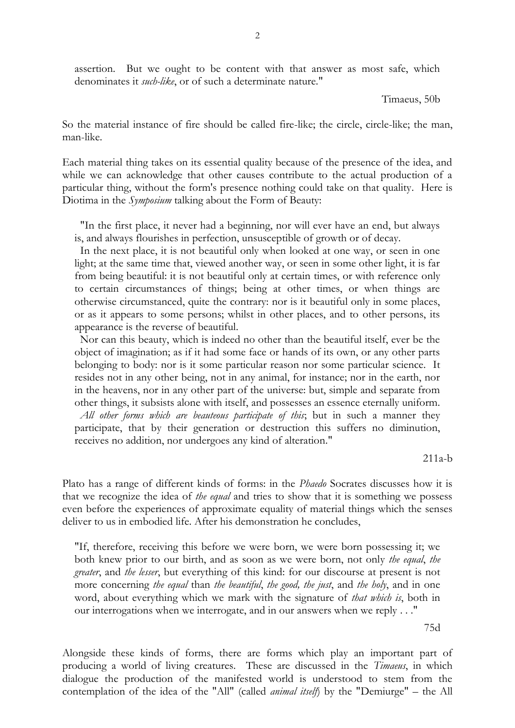assertion. But we ought to be content with that answer as most safe, which denominates it *such-like*, or of such a determinate nature."

Timaeus, 50b

So the material instance of fire should be called fire-like; the circle, circle-like; the man, man-like.

Each material thing takes on its essential quality because of the presence of the idea, and while we can acknowledge that other causes contribute to the actual production of a particular thing, without the form's presence nothing could take on that quality. Here is Diotima in the *Symposium* talking about the Form of Beauty:

 "In the first place, it never had a beginning, nor will ever have an end, but always is, and always flourishes in perfection, unsusceptible of growth or of decay.

 In the next place, it is not beautiful only when looked at one way, or seen in one light; at the same time that, viewed another way, or seen in some other light, it is far from being beautiful: it is not beautiful only at certain times, or with reference only to certain circumstances of things; being at other times, or when things are otherwise circumstanced, quite the contrary: nor is it beautiful only in some places, or as it appears to some persons; whilst in other places, and to other persons, its appearance is the reverse of beautiful.

 Nor can this beauty, which is indeed no other than the beautiful itself, ever be the object of imagination; as if it had some face or hands of its own, or any other parts belonging to body: nor is it some particular reason nor some particular science. It resides not in any other being, not in any animal, for instance; nor in the earth, nor in the heavens, nor in any other part of the universe: but, simple and separate from other things, it subsists alone with itself, and possesses an essence eternally uniform. *All other forms which are beauteous participate of this*; but in such a manner they participate, that by their generation or destruction this suffers no diminution, receives no addition, nor undergoes any kind of alteration."

211a-b

Plato has a range of different kinds of forms: in the *Phaedo* Socrates discusses how it is that we recognize the idea of *the equal* and tries to show that it is something we possess even before the experiences of approximate equality of material things which the senses deliver to us in embodied life. After his demonstration he concludes,

"If, therefore, receiving this before we were born, we were born possessing it; we both knew prior to our birth, and as soon as we were born, not only *the equal*, *the greater*, and *the lesser*, but everything of this kind: for our discourse at present is not more concerning *the equal* than *the beautiful*, *the good, the just*, and *the holy*, and in one word, about everything which we mark with the signature of *that which is*, both in our interrogations when we interrogate, and in our answers when we reply . . ."

75d

Alongside these kinds of forms, there are forms which play an important part of producing a world of living creatures. These are discussed in the *Timaeus*, in which dialogue the production of the manifested world is understood to stem from the contemplation of the idea of the "All" (called *animal itself*) by the "Demiurge" – the All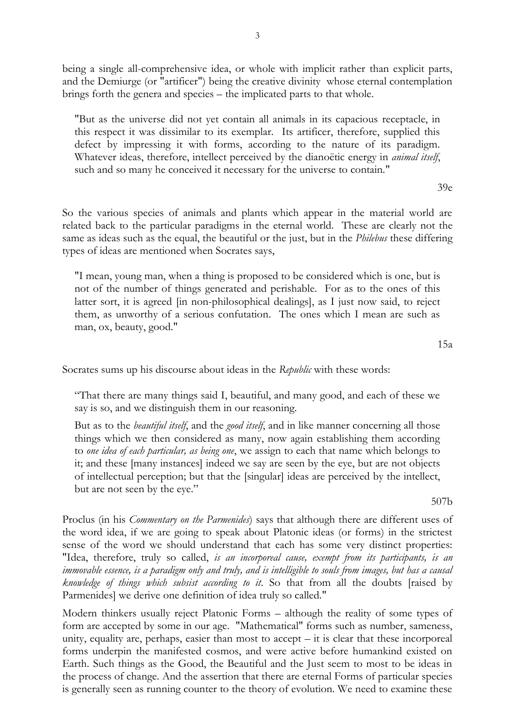being a single all-comprehensive idea, or whole with implicit rather than explicit parts, and the Demiurge (or "artificer") being the creative divinity whose eternal contemplation brings forth the genera and species – the implicated parts to that whole.

"But as the universe did not yet contain all animals in its capacious receptacle, in this respect it was dissimilar to its exemplar. Its artificer, therefore, supplied this defect by impressing it with forms, according to the nature of its paradigm. Whatever ideas, therefore, intellect perceived by the dianoëtic energy in *animal itself*, such and so many he conceived it necessary for the universe to contain."

39e

15a

So the various species of animals and plants which appear in the material world are related back to the particular paradigms in the eternal world. These are clearly not the same as ideas such as the equal, the beautiful or the just, but in the *Philebus* these differing types of ideas are mentioned when Socrates says,

"I mean, young man, when a thing is proposed to be considered which is one, but is not of the number of things generated and perishable. For as to the ones of this latter sort, it is agreed [in non-philosophical dealings], as I just now said, to reject them, as unworthy of a serious confutation. The ones which I mean are such as man, ox, beauty, good."

Socrates sums up his discourse about ideas in the *Republic* with these words:

"That there are many things said I, beautiful, and many good, and each of these we say is so, and we distinguish them in our reasoning.

But as to the *beautiful itself*, and the *good itself*, and in like manner concerning all those things which we then considered as many, now again establishing them according to *one idea of each particular, as being one*, we assign to each that name which belongs to it; and these [many instances] indeed we say are seen by the eye, but are not objects of intellectual perception; but that the [singular] ideas are perceived by the intellect, but are not seen by the eye."

507b

Proclus (in his *Commentary on the Parmenides*) says that although there are different uses of the word idea, if we are going to speak about Platonic ideas (or forms) in the strictest sense of the word we should understand that each has some very distinct properties: "Idea, therefore, truly so called, *is an incorporeal cause, exempt from its participants, is an immovable essence, is a paradigm only and truly, and is intelligible to souls from images, but has a causal knowledge of things which subsist according to it*. So that from all the doubts [raised by Parmenides] we derive one definition of idea truly so called."

Modern thinkers usually reject Platonic Forms – although the reality of some types of form are accepted by some in our age. "Mathematical" forms such as number, sameness, unity, equality are, perhaps, easier than most to accept – it is clear that these incorporeal forms underpin the manifested cosmos, and were active before humankind existed on Earth. Such things as the Good, the Beautiful and the Just seem to most to be ideas in the process of change. And the assertion that there are eternal Forms of particular species is generally seen as running counter to the theory of evolution. We need to examine these